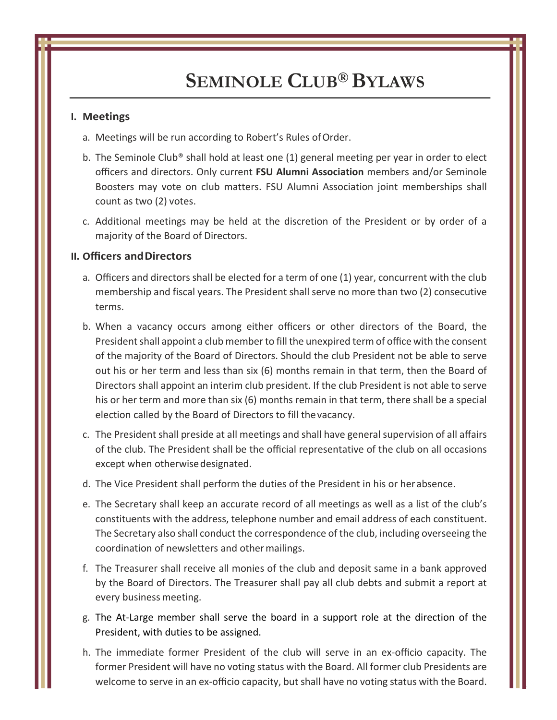## **I. Meetings**

- a. Meetings will be run according to Robert's Rules of Order.
- b. The Seminole Club® shall hold at least one (1) general meeting per year in order to elect officers and directors. Only current **FSU Alumni Association** members and/or Seminole Boosters may vote on club matters. FSU Alumni Association joint memberships shall count as two (2) votes.
- c. Additional meetings may be held at the discretion of the President or by order of a majority of the Board of Directors.

### **II. Officers andDirectors**

- a. Officers and directors shall be elected for a term of one (1) year, concurrent with the club membership and fiscal years. The President shall serve no more than two (2) consecutive terms.
- b. When a vacancy occurs among either officers or other directors of the Board, the President shall appoint a club member to fill the unexpired term of office with the consent of the majority of the Board of Directors. Should the club President not be able to serve out his or her term and less than six (6) months remain in that term, then the Board of Directors shall appoint an interim club president. If the club President is not able to serve his or her term and more than six (6) months remain in that term, there shall be a special election called by the Board of Directors to fill thevacancy.
- c. The President shall preside at all meetings and shall have general supervision of all affairs of the club. The President shall be the official representative of the club on all occasions except when otherwisedesignated.
- d. The Vice President shall perform the duties of the President in his or herabsence.
- e. The Secretary shall keep an accurate record of all meetings as well as a list of the club's constituents with the address, telephone number and email address of each constituent. The Secretary also shall conduct the correspondence of the club, including overseeing the coordination of newsletters and other mailings.
- f. The Treasurer shall receive all monies of the club and deposit same in a bank approved by the Board of Directors. The Treasurer shall pay all club debts and submit a report at every business meeting.
- g. The At-Large member shall serve the board in a support role at the direction of the President, with duties to be assigned.
- h. The immediate former President of the club will serve in an ex-officio capacity. The former President will have no voting status with the Board. All former club Presidents are welcome to serve in an ex-officio capacity, but shall have no voting status with the Board.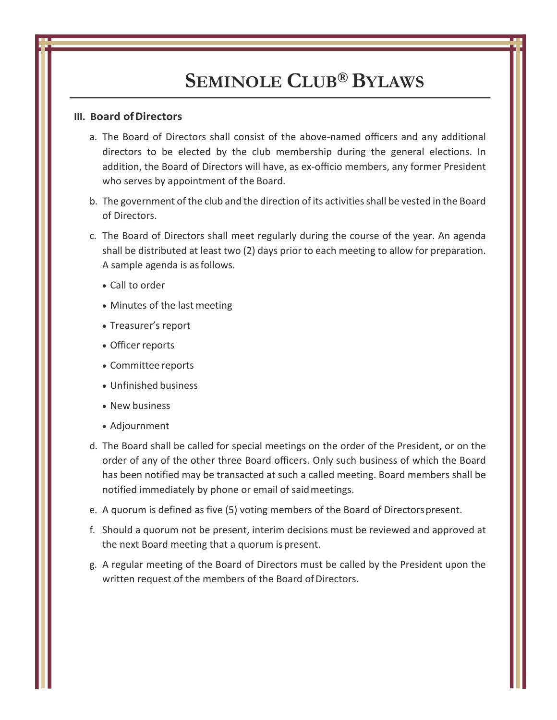## **III. Board ofDirectors**

- a. The Board of Directors shall consist of the above-named officers and any additional directors to be elected by the club membership during the general elections. In addition, the Board of Directors will have, as ex-officio members, any former President who serves by appointment of the Board.
- b. The government of the club and the direction of its activities shall be vested in the Board of Directors.
- c. The Board of Directors shall meet regularly during the course of the year. An agenda shall be distributed at least two (2) days prior to each meeting to allow for preparation. A sample agenda is asfollows.
	- Call to order
	- Minutes of the last meeting
	- Treasurer's report
	- Officer reports
	- Committee reports
	- Unfinished business
	- New business
	- Adjournment
- d. The Board shall be called for special meetings on the order of the President, or on the order of any of the other three Board officers. Only such business of which the Board has been notified may be transacted at such a called meeting. Board members shall be notified immediately by phone or email of saidmeetings.
- e. A quorum is defined as five (5) voting members of the Board of Directorspresent.
- f. Should a quorum not be present, interim decisions must be reviewed and approved at the next Board meeting that a quorum ispresent.
- g. A regular meeting of the Board of Directors must be called by the President upon the written request of the members of the Board of Directors.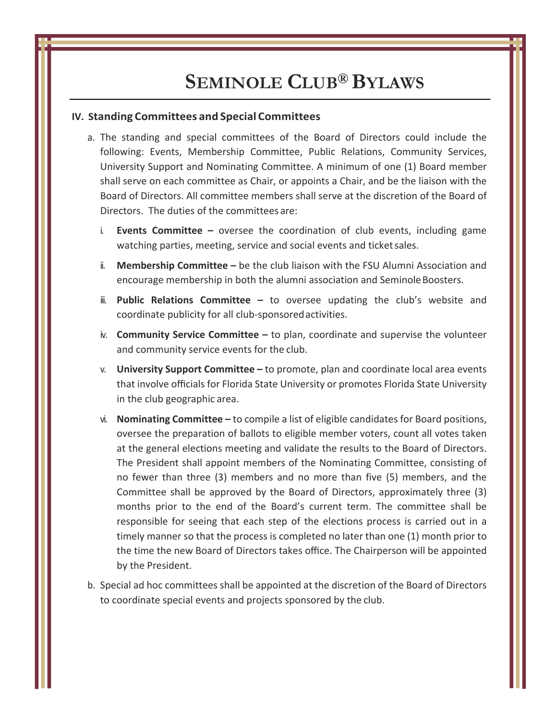#### **IV. Standing Committees and Special Committees**

- a. The standing and special committees of the Board of Directors could include the following: Events, Membership Committee, Public Relations, Community Services, University Support and Nominating Committee. A minimum of one (1) Board member shall serve on each committee as Chair, or appoints a Chair, and be the liaison with the Board of Directors. All committee members shall serve at the discretion of the Board of Directors. The duties of the committees are:
	- i. **Events Committee –** oversee the coordination of club events, including game watching parties, meeting, service and social events and ticketsales.
	- ii. **Membership Committee –** be the club liaison with the FSU Alumni Association and encourage membership in both the alumni association and Seminole Boosters.
	- ii. **Public Relations Committee –** to oversee updating the club's website and coordinate publicity for all club-sponsoredactivities.
	- iv. **Community Service Committee –** to plan, coordinate and supervise the volunteer and community service events for the club.
	- v. **University Support Committee –** to promote, plan and coordinate local area events that involve officials for Florida State University or promotes Florida State University in the club geographic area.
	- vi. **Nominating Committee –** to compile a list of eligible candidates for Board positions, oversee the preparation of ballots to eligible member voters, count all votes taken at the general elections meeting and validate the results to the Board of Directors. The President shall appoint members of the Nominating Committee, consisting of no fewer than three (3) members and no more than five (5) members, and the Committee shall be approved by the Board of Directors, approximately three (3) months prior to the end of the Board's current term. The committee shall be responsible for seeing that each step of the elections process is carried out in a timely manner so that the process is completed no later than one (1) month prior to the time the new Board of Directors takes office. The Chairperson will be appointed by the President.
- b. Special ad hoc committees shall be appointed at the discretion of the Board of Directors to coordinate special events and projects sponsored by the club.